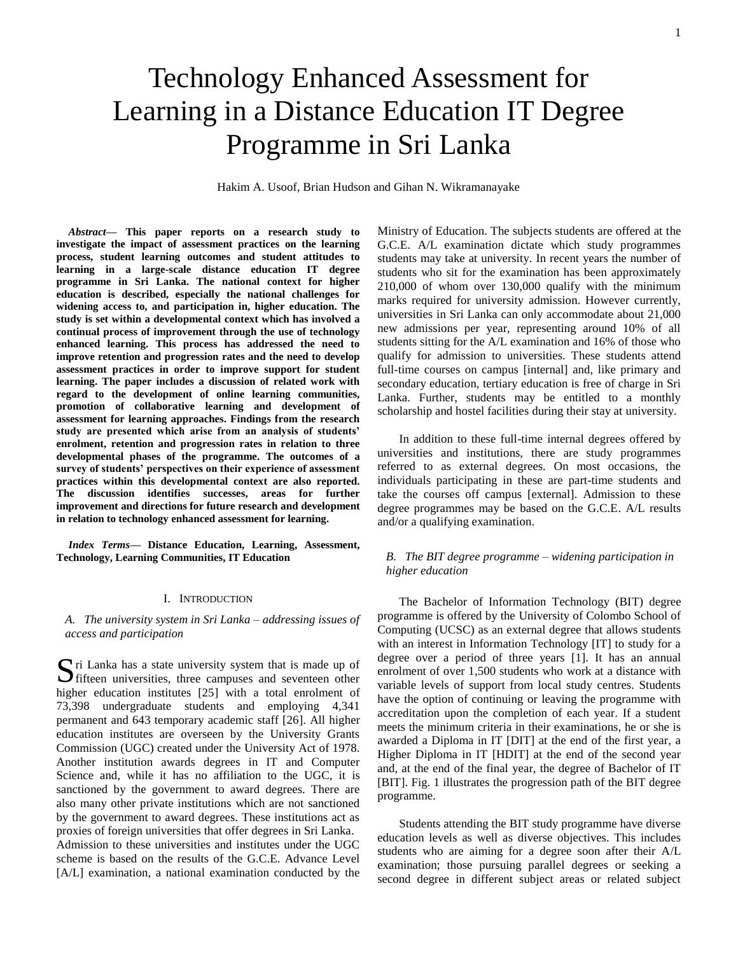# Technology Enhanced Assessment for Learning in a Distance Education IT Degree Programme in Sri Lanka

Hakim A. Usoof, Brian Hudson and Gihan N. Wikramanayake

*Abstract***— This paper reports on a research study to investigate the impact of assessment practices on the learning process, student learning outcomes and student attitudes to learning in a large-scale distance education IT degree programme in Sri Lanka. The national context for higher education is described, especially the national challenges for widening access to, and participation in, higher education. The study is set within a developmental context which has involved a continual process of improvement through the use of technology enhanced learning. This process has addressed the need to improve retention and progression rates and the need to develop assessment practices in order to improve support for student learning. The paper includes a discussion of related work with regard to the development of online learning communities, promotion of collaborative learning and development of assessment for learning approaches. Findings from the research study are presented which arise from an analysis of students' enrolment, retention and progression rates in relation to three developmental phases of the programme. The outcomes of a survey of students' perspectives on their experience of assessment practices within this developmental context are also reported. The discussion identifies successes, areas for further improvement and directions for future research and development in relation to technology enhanced assessment for learning.**

*Index Terms***— Distance Education, Learning, Assessment, Technology, Learning Communities, IT Education**

#### I. INTRODUCTION

*A. The university system in Sri Lanka – addressing issues of access and participation* 

ri Lanka has a state university system that is made up of Sri Lanka has a state university system that is made up of<br>fifteen universities, three campuses and seventeen other higher education institutes [25] with a total enrolment of 73,398 undergraduate students and employing 4,341 permanent and 643 temporary academic staff [26]. All higher education institutes are overseen by the University Grants Commission (UGC) created under the University Act of 1978. Another institution awards degrees in IT and Computer Science and, while it has no affiliation to the UGC, it is sanctioned by the government to award degrees. There are also many other private institutions which are not sanctioned by the government to award degrees. These institutions act as proxies of foreign universities that offer degrees in Sri Lanka. Admission to these universities and institutes under the UGC scheme is based on the results of the G.C.E. Advance Level [A/L] examination, a national examination conducted by the

Ministry of Education. The subjects students are offered at the G.C.E. A/L examination dictate which study programmes students may take at university. In recent years the number of students who sit for the examination has been approximately 210,000 of whom over 130,000 qualify with the minimum marks required for university admission. However currently, universities in Sri Lanka can only accommodate about 21,000 new admissions per year, representing around 10% of all students sitting for the A/L examination and 16% of those who qualify for admission to universities. These students attend full-time courses on campus [internal] and, like primary and secondary education, tertiary education is free of charge in Sri Lanka. Further, students may be entitled to a monthly scholarship and hostel facilities during their stay at university.

In addition to these full-time internal degrees offered by universities and institutions, there are study programmes referred to as external degrees. On most occasions, the individuals participating in these are part-time students and take the courses off campus [external]. Admission to these degree programmes may be based on the G.C.E. A/L results and/or a qualifying examination.

# *B. The BIT degree programme – widening participation in higher education*

The Bachelor of Information Technology (BIT) degree programme is offered by the University of Colombo School of Computing (UCSC) as an external degree that allows students with an interest in Information Technology [IT] to study for a degree over a period of three years [1]. It has an annual enrolment of over 1,500 students who work at a distance with variable levels of support from local study centres. Students have the option of continuing or leaving the programme with accreditation upon the completion of each year. If a student meets the minimum criteria in their examinations, he or she is awarded a Diploma in IT [DIT] at the end of the first year, a Higher Diploma in IT [HDIT] at the end of the second year and, at the end of the final year, the degree of Bachelor of IT [BIT]. Fig. 1 illustrates the progression path of the BIT degree programme.

Students attending the BIT study programme have diverse education levels as well as diverse objectives. This includes students who are aiming for a degree soon after their A/L examination; those pursuing parallel degrees or seeking a second degree in different subject areas or related subject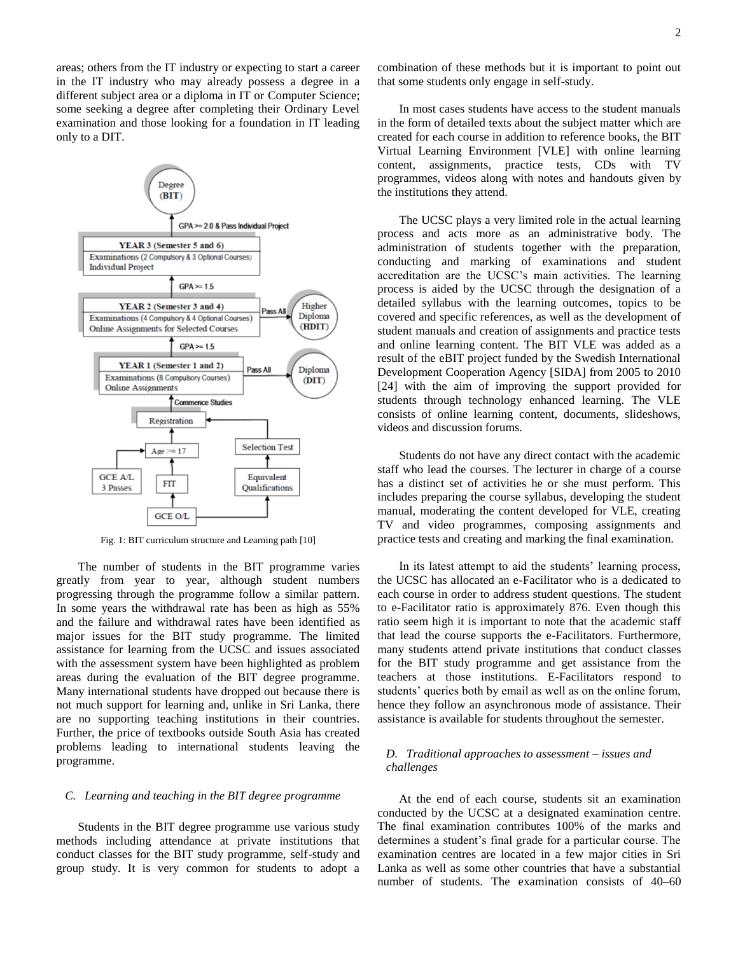areas; others from the IT industry or expecting to start a career combination of these m in the IT industry who may already possess a degree in a different subject area or a diploma in IT or Computer Science; some seeking a degree after completing their Ordinary Level **In** most cases student examination and those looking for a foundation in IT leading in the form of detailed to only to a DIT.



Fig. 1: BIT curriculum structure and Learning path [10]

product the programme follow a similar pattern. In some years the withdrawal rate has been as high as 55% to e-Facilitator ratio is and the failure and withdrawal rates have been identified as ratio seem high it is important major issues for the BIT study programme. The limited that lead the course sup assistance for learning from the UCSC and issues associated many students attend providents with the assessment system have been highlighted as problem for the BIT study prog areas during the evaluation of the BIT degree programme. teachers at those inst Many international students have dropped out because there is students' queries both by Further, the price of textbooks outside South Asia has created problems leading to international students leaving the  $R_{\text{max}}$  Turbitional annual problems identify to international students identify the *D. Traditional approaches to assessment – issues and* providence. The number of students in the BIT programme varies greatly from year to year, although student numbers not much support for learning and, unlike in Sri Lanka, there are no supporting teaching institutions in their countries. programme.

#### virtual campus. A learning management system together with learning content/activities to provide the *C. Learning and teaching in the BIT degree programme*

methods including attendance at private institutions that<br>conduct classes for the PIT study programme, self-study and Students in the BIT degree programme use various study conduct classes for the BIT study programme, self-study and group study. It is very common for students to adopt a

combination of these methods but it is important to point out that some students only engage in self-study.

In most cases students have access to the student manuals in the form of detailed texts about the subject matter which are created for each course in addition to reference books, the BIT Virtual Learning Environment [VLE] with online learning content, assignments, practice tests, CDs with TV programmes, videos along with notes and handouts given by the institutions they attend.

The UCSC plays a very limited role in the actual learning process and acts more as an administrative body. The administration of students together with the preparation, conducting and marking of examinations and student accreditation are the UCSC's main activities. The learning process is aided by the UCSC through the designation of a detailed syllabus with the learning outcomes, topics to be covered and specific references, as well as the development of student manuals and creation of assignments and practice tests and online learning content. The BIT VLE was added as a result of the eBIT project funded by the Swedish International Development Cooperation Agency [SIDA] from 2005 to 2010 [24] with the aim of improving the support provided for students through technology enhanced learning. The VLE consists of online learning content, documents, slideshows, videos and discussion forums.

Students do not have any direct contact with the academic staff who lead the courses. The lecturer in charge of a course has a distinct set of activities he or she must perform. This includes preparing the course syllabus, developing the student manual, moderating the content developed for VLE, creating TV and video programmes, composing assignments and practice tests and creating and marking the final examination.

In its latest attempt to aid the students' learning process, the UCSC has allocated an e-Facilitator who is a dedicated to each course in order to address student questions. The student to e-Facilitator ratio is approximately 876. Even though this ratio seem high it is important to note that the academic staff that lead the course supports the e-Facilitators. Furthermore, many students attend private institutions that conduct classes for the BIT study programme and get assistance from the teachers at those institutions. E-Facilitators respond to students' queries both by email as well as on the online forum, hence they follow an asynchronous mode of assistance. Their assistance is available for students throughout the semester.

# $\mathcal{L}$  such a suitable learning management system (Challenges *challenges*

At the end of each course, students sit an examination conducted by the UCSC at a designated examination centre. The final examination contributes 100% of the marks and determines a student's final grade for a particular course. The examination centres are located in a few major cities in Sri Lanka as well as some other countries that have a substantial number of students. The examination consists of 40–60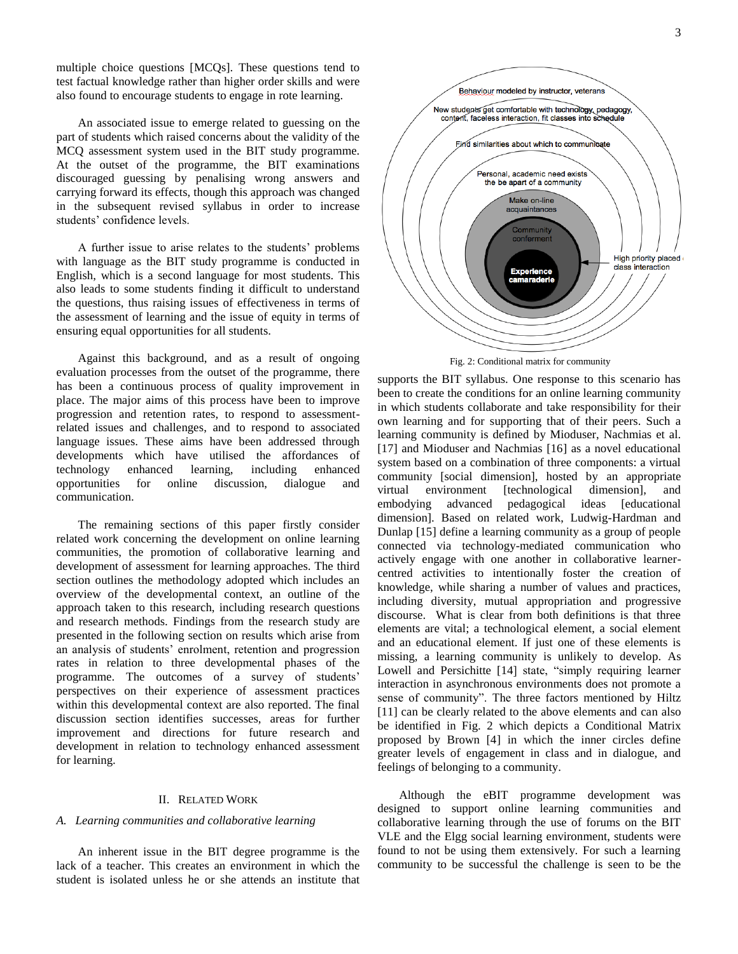multiple choice questions [MCQs]. These questions tend to test factual knowledge rather than higher order skills and were also found to encourage students to engage in rote learning.

An associated issue to emerge related to guessing on the part of students which raised concerns about the validity of the MCQ assessment system used in the BIT study programme. At the outset of the programme, the BIT examinations discouraged guessing by penalising wrong answers and carrying forward its effects, though this approach was changed in the subsequent revised syllabus in order to increase students' confidence levels.

A further issue to arise relates to the students' problems with language as the BIT study programme is conducted in English, which is a second language for most students. This also leads to some students finding it difficult to understand the questions, thus raising issues of effectiveness in terms of the assessment of learning and the issue of equity in terms of ensuring equal opportunities for all students.

Against this background, and as a result of ongoing evaluation processes from the outset of the programme, there has been a continuous process of quality improvement in place. The major aims of this process have been to improve progression and retention rates, to respond to assessmentrelated issues and challenges, and to respond to associated language issues. These aims have been addressed through developments which have utilised the affordances of technology enhanced learning, including enhanced opportunities for online discussion, dialogue and communication.

The remaining sections of this paper firstly consider related work concerning the development on online learning communities, the promotion of collaborative learning and development of assessment for learning approaches. The third section outlines the methodology adopted which includes an overview of the developmental context, an outline of the approach taken to this research, including research questions and research methods. Findings from the research study are presented in the following section on results which arise from an analysis of students' enrolment, retention and progression rates in relation to three developmental phases of the programme. The outcomes of a survey of students' perspectives on their experience of assessment practices within this developmental context are also reported. The final discussion section identifies successes, areas for further improvement and directions for future research and development in relation to technology enhanced assessment for learning.

#### II. RELATED WORK

# *A. Learning communities and collaborative learning*

An inherent issue in the BIT degree programme is the lack of a teacher. This creates an environment in which the student is isolated unless he or she attends an institute that



supports the BIT syllabus. One response to this scenario has been to create the conditions for an online learning community in which students collaborate and take responsibility for their own learning and for supporting that of their peers. Such a learning community is defined by Mioduser, Nachmias et al. [17] and Mioduser and Nachmias [16] as a novel educational system based on a combination of three components: a virtual community [social dimension], hosted by an appropriate virtual environment [technological dimension], and embodying advanced pedagogical ideas [educational dimension]. Based on related work, Ludwig-Hardman and Dunlap [15] define a learning community as a group of people connected via technology-mediated communication who actively engage with one another in collaborative learnercentred activities to intentionally foster the creation of knowledge, while sharing a number of values and practices, including diversity, mutual appropriation and progressive discourse. What is clear from both definitions is that three elements are vital; a technological element, a social element and an educational element. If just one of these elements is missing, a learning community is unlikely to develop. As Lowell and Persichitte [14] state, "simply requiring learner interaction in asynchronous environments does not promote a sense of community". The three factors mentioned by Hiltz [11] can be clearly related to the above elements and can also be identified in Fig. 2 which depicts a Conditional Matrix proposed by Brown [4] in which the inner circles define greater levels of engagement in class and in dialogue, and feelings of belonging to a community.

Although the eBIT programme development was designed to support online learning communities and collaborative learning through the use of forums on the BIT VLE and the Elgg social learning environment, students were found to not be using them extensively. For such a learning community to be successful the challenge is seen to be the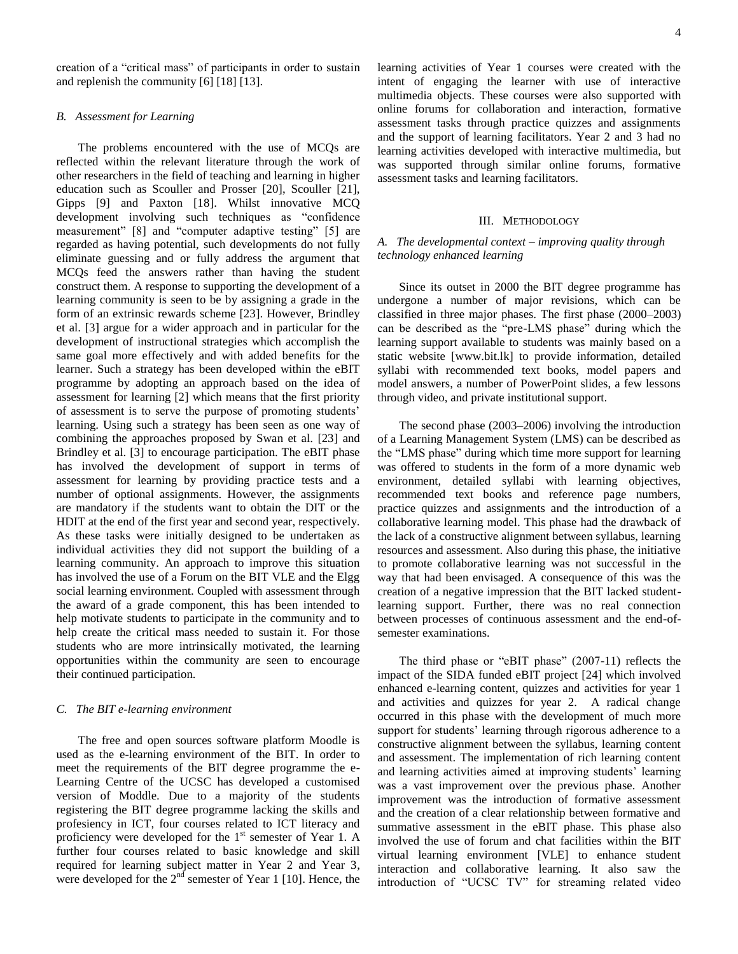creation of a "critical mass" of participants in order to sustain and replenish the community [6] [18] [13].

#### *B. Assessment for Learning*

The problems encountered with the use of MCQs are reflected within the relevant literature through the work of other researchers in the field of teaching and learning in higher education such as Scouller and Prosser [20], Scouller [21], Gipps [9] and Paxton [18]. Whilst innovative MCQ development involving such techniques as "confidence measurement" [8] and "computer adaptive testing" [5] are regarded as having potential, such developments do not fully eliminate guessing and or fully address the argument that MCQs feed the answers rather than having the student construct them. A response to supporting the development of a learning community is seen to be by assigning a grade in the form of an extrinsic rewards scheme [23]. However, Brindley et al. [3] argue for a wider approach and in particular for the development of instructional strategies which accomplish the same goal more effectively and with added benefits for the learner. Such a strategy has been developed within the eBIT programme by adopting an approach based on the idea of assessment for learning [2] which means that the first priority of assessment is to serve the purpose of promoting students' learning. Using such a strategy has been seen as one way of combining the approaches proposed by Swan et al. [23] and Brindley et al. [3] to encourage participation. The eBIT phase has involved the development of support in terms of assessment for learning by providing practice tests and a number of optional assignments. However, the assignments are mandatory if the students want to obtain the DIT or the HDIT at the end of the first year and second year, respectively. As these tasks were initially designed to be undertaken as individual activities they did not support the building of a learning community. An approach to improve this situation has involved the use of a Forum on the BIT VLE and the Elgg social learning environment. Coupled with assessment through the award of a grade component, this has been intended to help motivate students to participate in the community and to help create the critical mass needed to sustain it. For those students who are more intrinsically motivated, the learning opportunities within the community are seen to encourage their continued participation.

# *C. The BIT e-learning environment*

The free and open sources software platform Moodle is used as the e-learning environment of the BIT. In order to meet the requirements of the BIT degree programme the e-Learning Centre of the UCSC has developed a customised version of Moddle. Due to a majority of the students registering the BIT degree programme lacking the skills and profesiency in ICT, four courses related to ICT literacy and proficiency were developed for the 1<sup>st</sup> semester of Year 1. A further four courses related to basic knowledge and skill required for learning subject matter in Year 2 and Year 3, were developed for the  $2<sup>nd</sup>$  semester of Year 1 [10]. Hence, the learning activities of Year 1 courses were created with the intent of engaging the learner with use of interactive multimedia objects. These courses were also supported with online forums for collaboration and interaction, formative assessment tasks through practice quizzes and assignments and the support of learning facilitators. Year 2 and 3 had no learning activities developed with interactive multimedia, but was supported through similar online forums, formative assessment tasks and learning facilitators.

#### III. METHODOLOGY

# *A. The developmental context – improving quality through technology enhanced learning*

Since its outset in 2000 the BIT degree programme has undergone a number of major revisions, which can be classified in three major phases. The first phase (2000–2003) can be described as the "pre-LMS phase" during which the learning support available to students was mainly based on a static website [www.bit.lk] to provide information, detailed syllabi with recommended text books, model papers and model answers, a number of PowerPoint slides, a few lessons through video, and private institutional support.

The second phase (2003–2006) involving the introduction of a Learning Management System (LMS) can be described as the "LMS phase" during which time more support for learning was offered to students in the form of a more dynamic web environment, detailed syllabi with learning objectives, recommended text books and reference page numbers, practice quizzes and assignments and the introduction of a collaborative learning model. This phase had the drawback of the lack of a constructive alignment between syllabus, learning resources and assessment. Also during this phase, the initiative to promote collaborative learning was not successful in the way that had been envisaged. A consequence of this was the creation of a negative impression that the BIT lacked studentlearning support. Further, there was no real connection between processes of continuous assessment and the end-ofsemester examinations.

The third phase or "eBIT phase" (2007-11) reflects the impact of the SIDA funded eBIT project [24] which involved enhanced e-learning content, quizzes and activities for year 1 and activities and quizzes for year 2. A radical change occurred in this phase with the development of much more support for students' learning through rigorous adherence to a constructive alignment between the syllabus, learning content and assessment. The implementation of rich learning content and learning activities aimed at improving students' learning was a vast improvement over the previous phase. Another improvement was the introduction of formative assessment and the creation of a clear relationship between formative and summative assessment in the eBIT phase. This phase also involved the use of forum and chat facilities within the BIT virtual learning environment [VLE] to enhance student interaction and collaborative learning. It also saw the introduction of "UCSC TV" for streaming related video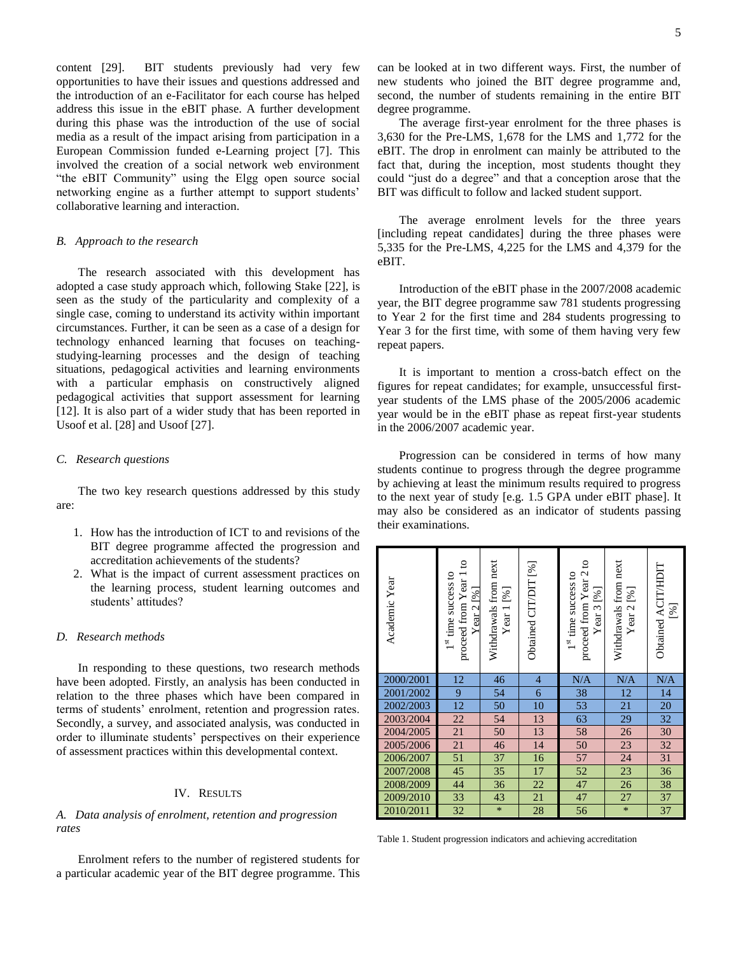content [29]. BIT students previously had very few opportunities to have their issues and questions addressed and the introduction of an e-Facilitator for each course has helped address this issue in the eBIT phase. A further development during this phase was the introduction of the use of social media as a result of the impact arising from participation in a European Commission funded e-Learning project [7]. This involved the creation of a social network web environment "the eBIT Community" using the Elgg open source social networking engine as a further attempt to support students' collaborative learning and interaction.

#### *B. Approach to the research*

The research associated with this development has adopted a case study approach which, following Stake [22], is seen as the study of the particularity and complexity of a single case, coming to understand its activity within important circumstances. Further, it can be seen as a case of a design for technology enhanced learning that focuses on teachingstudying-learning processes and the design of teaching situations, pedagogical activities and learning environments with a particular emphasis on constructively aligned pedagogical activities that support assessment for learning [12]. It is also part of a wider study that has been reported in Usoof et al. [28] and Usoof [27].

# *C. Research questions*

The two key research questions addressed by this study are:

- 1. How has the introduction of ICT to and revisions of the BIT degree programme affected the progression and accreditation achievements of the students?
- 2. What is the impact of current assessment practices on the learning process, student learning outcomes and students' attitudes?

# *D. Research methods*

In responding to these questions, two research methods have been adopted. Firstly, an analysis has been conducted in relation to the three phases which have been compared in terms of students' enrolment, retention and progression rates. Secondly, a survey, and associated analysis, was conducted in order to illuminate students' perspectives on their experience of assessment practices within this developmental context.

## IV. RESULTS

# *A. Data analysis of enrolment, retention and progression rates*

Enrolment refers to the number of registered students for a particular academic year of the BIT degree programme. This can be looked at in two different ways. First, the number of new students who joined the BIT degree programme and, second, the number of students remaining in the entire BIT degree programme.

The average first-year enrolment for the three phases is 3,630 for the Pre-LMS, 1,678 for the LMS and 1,772 for the eBIT. The drop in enrolment can mainly be attributed to the fact that, during the inception, most students thought they could "just do a degree" and that a conception arose that the BIT was difficult to follow and lacked student support.

The average enrolment levels for the three years [including repeat candidates] during the three phases were 5,335 for the Pre-LMS, 4,225 for the LMS and 4,379 for the eBIT.

Introduction of the eBIT phase in the 2007/2008 academic year, the BIT degree programme saw 781 students progressing to Year 2 for the first time and 284 students progressing to Year 3 for the first time, with some of them having very few repeat papers.

It is important to mention a cross-batch effect on the figures for repeat candidates; for example, unsuccessful firstyear students of the LMS phase of the 2005/2006 academic year would be in the eBIT phase as repeat first-year students in the 2006/2007 academic year.

Progression can be considered in terms of how many students continue to progress through the degree programme by achieving at least the minimum results required to progress to the next year of study [e.g. 1.5 GPA under eBIT phase]. It may also be considered as an indicator of students passing their examinations.

| Academic Year | proceed from Year 1 to<br>$1st$ time success to<br>Year 2 [%] | Withdrawals from next<br>Year $1$ [%] | Obtained CIT/DIT [%]     | proceed from Year 2 to<br>$1st$ time success to<br>Year $3$ [%] | Withdrawals from next<br>Year $2$ [%] | Obtained ACIT/HDIT<br>[%] |
|---------------|---------------------------------------------------------------|---------------------------------------|--------------------------|-----------------------------------------------------------------|---------------------------------------|---------------------------|
| 2000/2001     | 12                                                            | 46                                    | $\overline{\mathcal{L}}$ | N/A                                                             | N/A                                   | N/A                       |
| 2001/2002     | $\overline{9}$                                                | 54                                    | $\overline{6}$           | 38                                                              | 12                                    | 14                        |
| 2002/2003     | $\overline{12}$                                               | 50                                    | $\overline{10}$          | 53                                                              | 21                                    | 20                        |
| 2003/2004     | $\overline{22}$                                               | 54                                    | 13                       | 63                                                              | 29                                    | 32                        |
| 2004/2005     | 21                                                            | 50                                    | $\overline{13}$          | 58                                                              | 26                                    | 30                        |
| 2005/2006     | 21                                                            | 46                                    | 14                       | 50                                                              | 23                                    | 32                        |
| 2006/2007     | 51                                                            | 37                                    | 16                       | 57                                                              | 24                                    | 31                        |
| 2007/2008     | $\overline{45}$                                               | 35                                    | 17                       | 52                                                              | 23                                    | $\overline{36}$           |
| 2008/2009     | 44                                                            | 36                                    | 22                       | 47                                                              | 26                                    | 38                        |
| 2009/2010     | $\overline{33}$                                               | $\overline{43}$                       | $\overline{21}$          | 47                                                              | 27                                    | $\overline{37}$           |
| 2010/2011     | 32                                                            | $\ast$                                | 28                       | 56                                                              | $\ast$                                | 37                        |

Table 1. Student progression indicators and achieving accreditation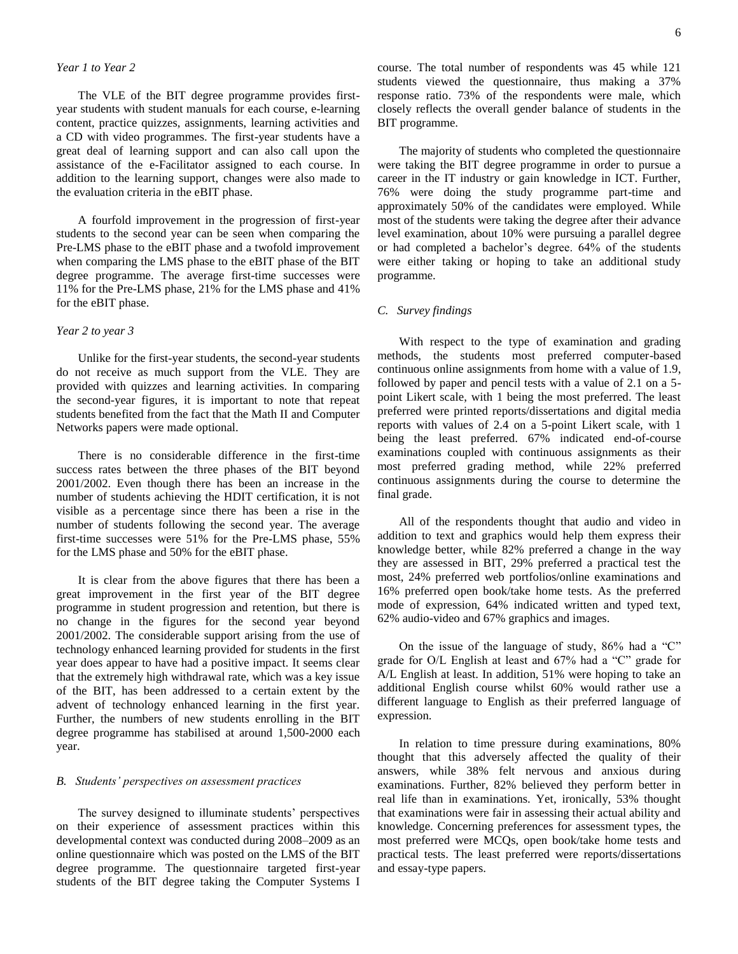# *Year 1 to Year 2*

The VLE of the BIT degree programme provides firstyear students with student manuals for each course, e-learning content, practice quizzes, assignments, learning activities and a CD with video programmes. The first-year students have a great deal of learning support and can also call upon the assistance of the e-Facilitator assigned to each course. In addition to the learning support, changes were also made to the evaluation criteria in the eBIT phase.

A fourfold improvement in the progression of first-year students to the second year can be seen when comparing the Pre-LMS phase to the eBIT phase and a twofold improvement when comparing the LMS phase to the eBIT phase of the BIT degree programme. The average first-time successes were 11% for the Pre-LMS phase, 21% for the LMS phase and 41% for the eBIT phase.

# *Year 2 to year 3*

Unlike for the first-year students, the second-year students do not receive as much support from the VLE. They are provided with quizzes and learning activities. In comparing the second-year figures, it is important to note that repeat students benefited from the fact that the Math II and Computer Networks papers were made optional.

There is no considerable difference in the first-time success rates between the three phases of the BIT beyond 2001/2002. Even though there has been an increase in the number of students achieving the HDIT certification, it is not visible as a percentage since there has been a rise in the number of students following the second year. The average first-time successes were 51% for the Pre-LMS phase, 55% for the LMS phase and 50% for the eBIT phase.

It is clear from the above figures that there has been a great improvement in the first year of the BIT degree programme in student progression and retention, but there is no change in the figures for the second year beyond 2001/2002. The considerable support arising from the use of technology enhanced learning provided for students in the first year does appear to have had a positive impact. It seems clear that the extremely high withdrawal rate, which was a key issue of the BIT, has been addressed to a certain extent by the advent of technology enhanced learning in the first year. Further, the numbers of new students enrolling in the BIT degree programme has stabilised at around 1,500-2000 each year.

# *B. Students' perspectives on assessment practices*

The survey designed to illuminate students' perspectives on their experience of assessment practices within this developmental context was conducted during 2008–2009 as an online questionnaire which was posted on the LMS of the BIT degree programme. The questionnaire targeted first-year students of the BIT degree taking the Computer Systems I course. The total number of respondents was 45 while 121 students viewed the questionnaire, thus making a 37% response ratio. 73% of the respondents were male, which closely reflects the overall gender balance of students in the BIT programme.

The majority of students who completed the questionnaire were taking the BIT degree programme in order to pursue a career in the IT industry or gain knowledge in ICT. Further, 76% were doing the study programme part-time and approximately 50% of the candidates were employed. While most of the students were taking the degree after their advance level examination, about 10% were pursuing a parallel degree or had completed a bachelor's degree. 64% of the students were either taking or hoping to take an additional study programme.

# *C. Survey findings*

With respect to the type of examination and grading methods, the students most preferred computer-based continuous online assignments from home with a value of 1.9, followed by paper and pencil tests with a value of 2.1 on a 5 point Likert scale, with 1 being the most preferred. The least preferred were printed reports/dissertations and digital media reports with values of 2.4 on a 5-point Likert scale, with 1 being the least preferred. 67% indicated end-of-course examinations coupled with continuous assignments as their most preferred grading method, while 22% preferred continuous assignments during the course to determine the final grade.

All of the respondents thought that audio and video in addition to text and graphics would help them express their knowledge better, while 82% preferred a change in the way they are assessed in BIT, 29% preferred a practical test the most, 24% preferred web portfolios/online examinations and 16% preferred open book/take home tests. As the preferred mode of expression, 64% indicated written and typed text, 62% audio-video and 67% graphics and images.

On the issue of the language of study, 86% had a "C" grade for O/L English at least and 67% had a "C" grade for A/L English at least. In addition, 51% were hoping to take an additional English course whilst 60% would rather use a different language to English as their preferred language of expression.

In relation to time pressure during examinations, 80% thought that this adversely affected the quality of their answers, while 38% felt nervous and anxious during examinations. Further, 82% believed they perform better in real life than in examinations. Yet, ironically, 53% thought that examinations were fair in assessing their actual ability and knowledge. Concerning preferences for assessment types, the most preferred were MCQs, open book/take home tests and practical tests. The least preferred were reports/dissertations and essay-type papers.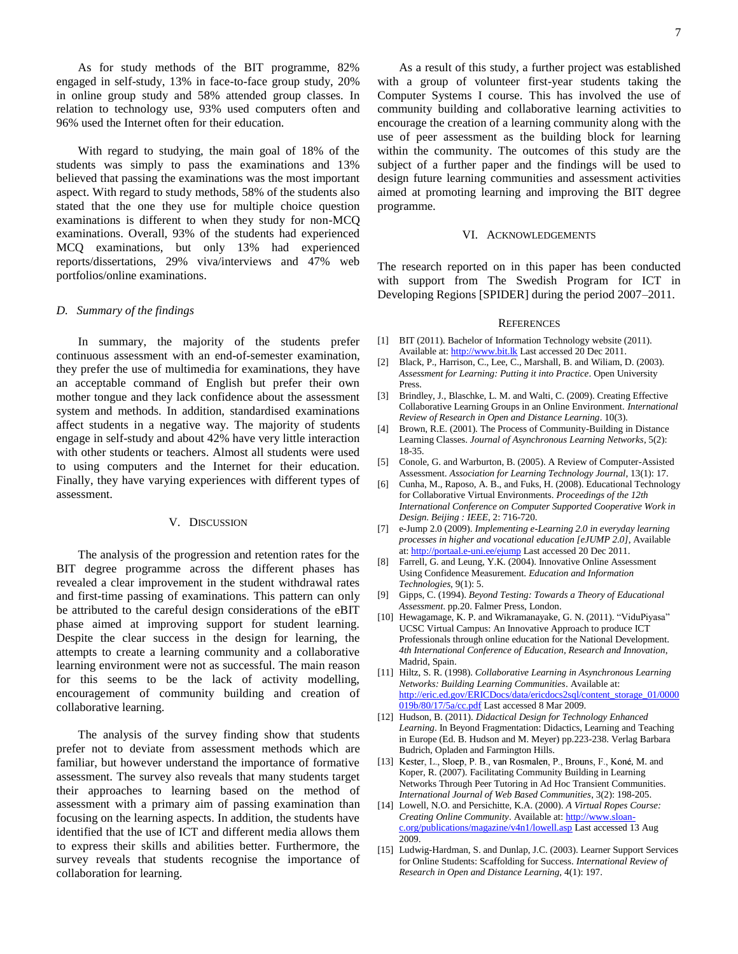As for study methods of the BIT programme, 82% engaged in self-study, 13% in face-to-face group study, 20% in online group study and 58% attended group classes. In relation to technology use, 93% used computers often and 96% used the Internet often for their education.

With regard to studying, the main goal of 18% of the students was simply to pass the examinations and 13% believed that passing the examinations was the most important aspect. With regard to study methods, 58% of the students also stated that the one they use for multiple choice question examinations is different to when they study for non-MCQ examinations. Overall, 93% of the students had experienced MCQ examinations, but only 13% had experienced reports/dissertations, 29% viva/interviews and 47% web portfolios/online examinations.

#### *D. Summary of the findings*

In summary, the majority of the students prefer continuous assessment with an end-of-semester examination, they prefer the use of multimedia for examinations, they have an acceptable command of English but prefer their own mother tongue and they lack confidence about the assessment system and methods. In addition, standardised examinations affect students in a negative way. The majority of students engage in self-study and about 42% have very little interaction with other students or teachers. Almost all students were used to using computers and the Internet for their education. Finally, they have varying experiences with different types of assessment.

# V. DISCUSSION

The analysis of the progression and retention rates for the BIT degree programme across the different phases has revealed a clear improvement in the student withdrawal rates and first-time passing of examinations. This pattern can only be attributed to the careful design considerations of the eBIT phase aimed at improving support for student learning. Despite the clear success in the design for learning, the attempts to create a learning community and a collaborative learning environment were not as successful. The main reason for this seems to be the lack of activity modelling, encouragement of community building and creation of collaborative learning.

The analysis of the survey finding show that students prefer not to deviate from assessment methods which are familiar, but however understand the importance of formative assessment. The survey also reveals that many students target their approaches to learning based on the method of assessment with a primary aim of passing examination than focusing on the learning aspects. In addition, the students have identified that the use of ICT and different media allows them to express their skills and abilities better. Furthermore, the survey reveals that students recognise the importance of collaboration for learning.

As a result of this study, a further project was established with a group of volunteer first-year students taking the Computer Systems I course. This has involved the use of community building and collaborative learning activities to encourage the creation of a learning community along with the use of peer assessment as the building block for learning within the community. The outcomes of this study are the subject of a further paper and the findings will be used to design future learning communities and assessment activities aimed at promoting learning and improving the BIT degree programme.

#### VI. ACKNOWLEDGEMENTS

The research reported on in this paper has been conducted with support from The Swedish Program for ICT in Developing Regions [SPIDER] during the period 2007–2011.

#### **REFERENCES**

- [1] BIT (2011). Bachelor of Information Technology website (2011). Available at[: http://www.bit.lk](http://www.bit.lk/) Last accessed 20 Dec 2011.
- [2] Black, P., Harrison, C., Lee, C., Marshall, B. and Wiliam, D. (2003). *Assessment for Learning: Putting it into Practice*. Open University Press.
- [3] Brindley, J., Blaschke, L. M. and Walti, C. (2009). Creating Effective Collaborative Learning Groups in an Online Environment. *International Review of Research in Open and Distance Learning*. 10(3).
- [4] Brown, R.E. (2001). The Process of Community-Building in Distance Learning Classes. *Journal of Asynchronous Learning Networks*, 5(2): 18-35.
- [5] Conole, G. and Warburton, B. (2005). A Review of Computer-Assisted Assessment. *Association for Learning Technology Journal*, 13(1): 17.
- [6] Cunha, M., Raposo, A. B., and Fuks, H. (2008). Educational Technology for Collaborative Virtual Environments. *Proceedings of the 12th International Conference on Computer Supported Cooperative Work in Design. Beijing : IEEE*, 2: 716-720.
- [7] e-Jump 2.0 (2009). *Implementing e-Learning 2.0 in everyday learning processes in higher and vocational education [eJUMP 2.0]*, Available at[: http://portaal.e-uni.ee/ejump](http://portaal.e-uni.ee/ejump) Last accessed 20 Dec 2011.
- [8] Farrell, G. and Leung, Y.K. (2004). Innovative Online Assessment Using Confidence Measurement. *Education and Information Technologies,* 9(1): 5.
- [9] Gipps, C. (1994). *Beyond Testing: Towards a Theory of Educational Assessment*. pp.20. Falmer Press, London.
- [10] Hewagamage, K. P. and Wikramanayake, G. N. (2011). "ViduPiyasa" UCSC Virtual Campus: An Innovative Approach to produce ICT Professionals through online education for the National Development. *4th International Conference of Education, Research and Innovation*, Madrid, Spain.
- [11] Hiltz, S. R. (1998). *Collaborative Learning in Asynchronous Learning Networks: Building Learning Communities*. Available at: [http://eric.ed.gov/ERICDocs/data/ericdocs2sql/content\\_storage\\_01/0000](http://eric.ed.gov/ERICDocs/data/ericdocs2sql/content_storage_01/0000019b/80/17/5a/cc.pdf) [019b/80/17/5a/cc.pdf](http://eric.ed.gov/ERICDocs/data/ericdocs2sql/content_storage_01/0000019b/80/17/5a/cc.pdf) Last accessed 8 Mar 2009.
- [12] Hudson, B. (2011). *Didactical Design for Technology Enhanced Learning*. In Beyond Fragmentation: Didactics, Learning and Teaching in Europe (Ed. B. Hudson and M. Meyer) pp.223-238. Verlag Barbara Budrich, Opladen and Farmington Hills.
- [13] Kester, L., Sloep, P. B., van Rosmalen, P., Brouns, F., Koné, M. and Koper, R. (2007). Facilitating Community Building in Learning Networks Through Peer Tutoring in Ad Hoc Transient Communities. *International Journal of Web Based Communities*, 3(2): 198-205.
- [14] Lowell, N.O. and Persichitte, K.A. (2000). *A Virtual Ropes Course: Creating Online Community*. Available at[: http://www.sloan](http://www.sloan-c.org/publications/magazine/v4n1/lowell.asp)[c.org/publications/magazine/v4n1/lowell.asp](http://www.sloan-c.org/publications/magazine/v4n1/lowell.asp) Last accessed 13 Aug 2009.
- [15] Ludwig-Hardman, S. and Dunlap, J.C. (2003). Learner Support Services for Online Students: Scaffolding for Success. *International Review of Research in Open and Distance Learning,* 4(1): 197.